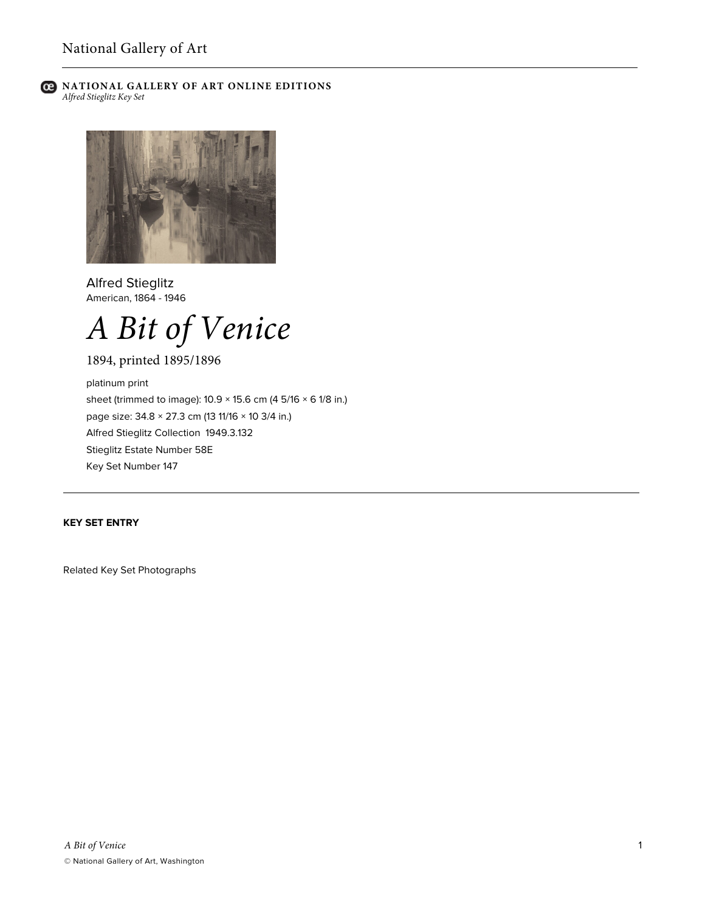



Alfred Stieglitz American, 1864 - 1946



1894, printed 1895/1896

platinum print sheet (trimmed to image): 10.9 × 15.6 cm (4 5/16 × 6 1/8 in.) page size: 34.8 × 27.3 cm (13 11/16 × 10 3/4 in.) Alfred Stieglitz Collection 1949.3.132 Stieglitz Estate Number 58E Key Set Number 147

## **KEY SET ENTRY**

Related Key Set Photographs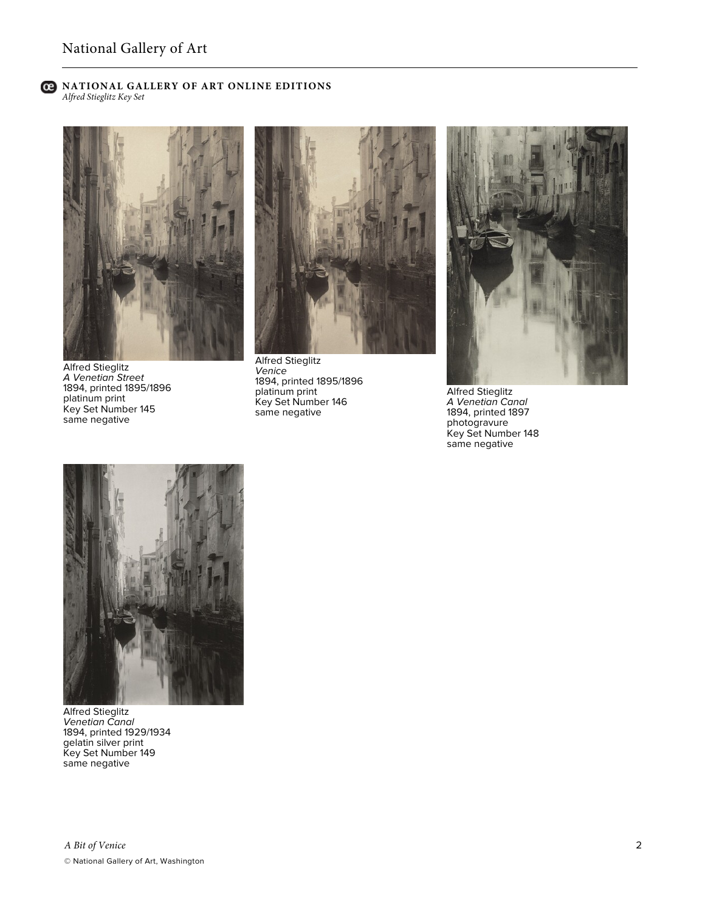

Alfred Stieglitz *A Venetian Street* 1894, printed 1895/1896 platinum print Key Set Number 145 same negative



Alfred Stieglitz *Venice* 1894, printed 1895/1896 platinum print Key Set Number 146 same negative



Alfred Stieglitz *A Venetian Canal* 1894, printed 1897 photogravure Key Set Number 148 same negative



Alfred Stieglitz *Venetian Canal* 1894, printed 1929/1934 gelatin silver print Key Set Number 149 same negative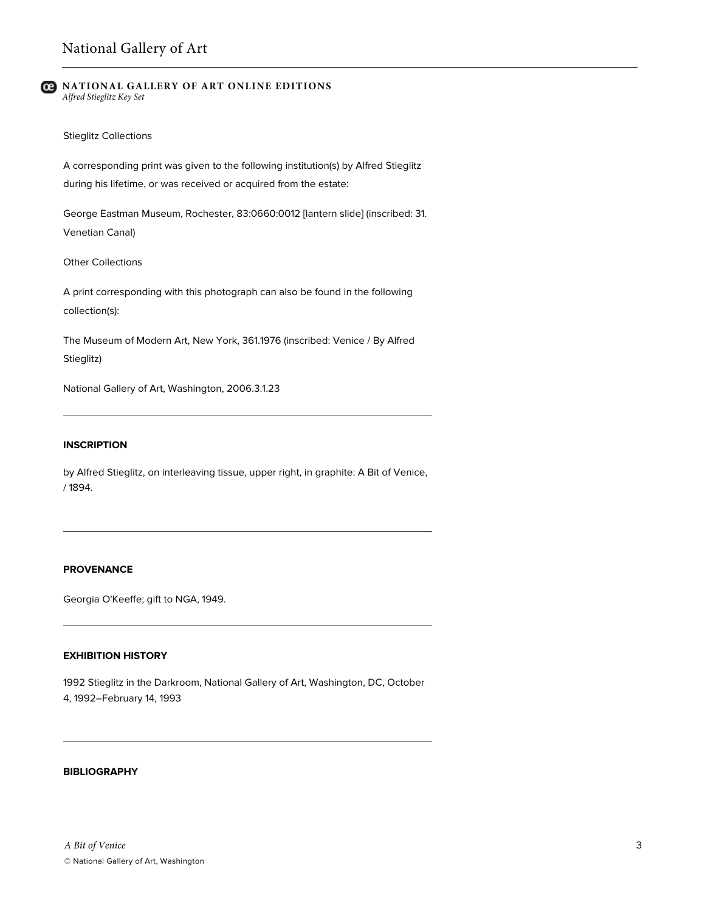#### Stieglitz Collections

A corresponding print was given to the following institution(s) by Alfred Stieglitz during his lifetime, or was received or acquired from the estate:

George Eastman Museum, Rochester, 83:0660:0012 [lantern slide] (inscribed: 31. Venetian Canal)

Other Collections

A print corresponding with this photograph can also be found in the following collection(s):

The Museum of Modern Art, New York, 361.1976 (inscribed: Venice / By Alfred Stieglitz)

National Gallery of Art, Washington, 2006.3.1.23

## **INSCRIPTION**

by Alfred Stieglitz, on interleaving tissue, upper right, in graphite: A Bit of Venice, / 1894.

# **PROVENANCE**

Georgia O'Keeffe; gift to NGA, 1949.

#### **EXHIBITION HISTORY**

1992 Stieglitz in the Darkroom, National Gallery of Art, Washington, DC, October 4, 1992–February 14, 1993

## **BIBLIOGRAPHY**